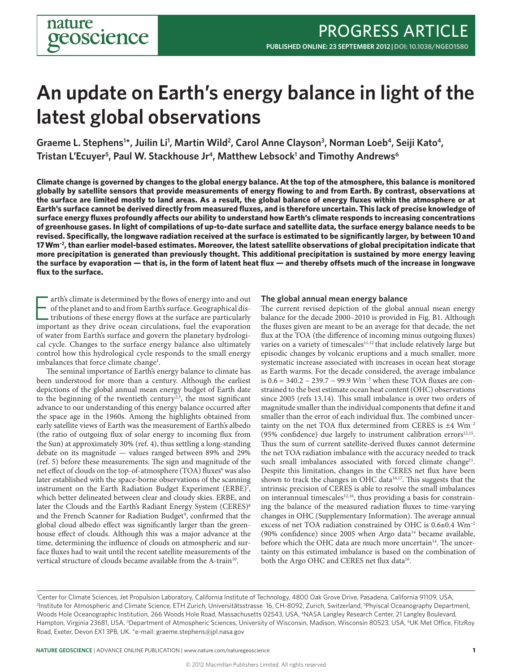# **An update on Earth's energy balance in light of the latest global observations**

Graeme L. Stephens<sup>1\*</sup>, Juilin Li<sup>1</sup>, Martin Wild<sup>2</sup>, Carol Anne Clayson<sup>3</sup>, Norman Loeb<sup>4</sup>, Seiji Kato<sup>4</sup>, **Tristan L'Ecuyer5 , Paul W. Stackhouse Jr4, Matthew Lebsock1 and Timothy Andrews6**

**Climate change is governed by changes to the global energy balance. At the top of the atmosphere, this balance is monitored globally by satellite sensors that provide measurements of energy flowing to and from Earth. By contrast, observations at the surface are limited mostly to land areas. As a result, the global balance of energy fluxes within the atmosphere or at Earth's surface cannot be derived directly from measured fluxes, and is therefore uncertain. This lack of precise knowledge of surface energy fluxes profoundly affects our ability to understand how Earth's climate responds to increasing concentrations of greenhouse gases. In light of compilations of up-to-date surface and satellite data, the surface energy balance needs to be revised. Specifically, the longwave radiation received at the surface is estimated to be significantly larger, by between 10 and 17 Wm–2, than earlier model-based estimates. Moreover, the latest satellite observations of global precipitation indicate that more precipitation is generated than previously thought. This additional precipitation is sustained by more energy leaving the surface by evaporation — that is, in the form of latent heat flux — and thereby offsets much of the increase in longwave flux to the surface.**

They arth's climate is determined by the flows of energy into and out of the planet and to and from Earth's surface. Geographical distributions of these energy flows at the surface are particularly important as they drive arth's climate is determined by the flows of energy into and out of the planet and to and from Earth's surface. Geographical distributions of these energy flows at the surface are particularly of water from Earth's surface and govern the planetary hydrological cycle. Changes to the surface energy balance also ultimately control how this hydrological cycle responds to the small energy imbalances that force climate change<sup>1</sup>.

The seminal importance of Earth's energy balance to climate has been understood for more than a century. Although the earliest depictions of the global annual mean energy budget of Earth date to the beginning of the twentieth century<sup>2,3</sup>, the most significant advance to our understanding of this energy balance occurred after the space age in the 1960s. Among the highlights obtained from early satellite views of Earth was the measurement of Earth's albedo (the ratio of outgoing flux of solar energy to incoming flux from the Sun) at approximately 30% (ref. 4), thus settling a long-standing debate on its magnitude — values ranged between 89% and 29% (ref. 5) before these measurements. The sign and magnitude of the net effect of clouds on the top-of-atmosphere (TOA) fluxes<sup>6</sup> was also later established with the space-borne observations of the scanning instrument on the Earth Radiation Budget Experiment (ERBE)<sup>7</sup>, which better delineated between clear and cloudy skies. ERBE, and later the Clouds and the Earth's Radiant Energy System (CERES)<sup>8</sup> and the French Scanner for Radiation Budget<sup>9</sup>, confirmed that the global cloud albedo effect was significantly larger than the greenhouse effect of clouds. Although this was a major advance at the time, determining the influence of clouds on atmospheric and surface fluxes had to wait until the recent satellite measurements of the vertical structure of clouds became available from the A-train<sup>10</sup>.

#### **The global annual mean energy balance**

The current revised depiction of the global annual mean energy balance for the decade 2000–2010 is provided in Fig. B1. Although the fluxes given are meant to be an average for that decade, the net flux at the TOA (the difference of incoming minus outgoing fluxes) varies on a variety of timescales<sup>11,12</sup> that include relatively large but episodic changes by volcanic eruptions and a much smaller, more systematic increase associated with increases in ocean heat storage as Earth warms. For the decade considered, the average imbalance is 0.6 = 340.2 − 239.7 − 99.9 Wm–2 when these TOA fluxes are constrained to the best estimate ocean heat content (OHC) observations since 2005 (refs 13,14). This small imbalance is over two orders of magnitude smaller than the individual components that define it and smaller than the error of each individual flux. The combined uncertainty on the net TOA flux determined from CERES is  $\pm 4$  Wm<sup>-2</sup> (95% confidence) due largely to instrument calibration errors $12,15$ . Thus the sum of current satellite-derived fluxes cannot determine the net TOA radiation imbalance with the accuracy needed to track such small imbalances associated with forced climate change<sup>11</sup>. Despite this limitation, changes in the CERES net flux have been shown to track the changes in OHC data<sup>16,17</sup>. This suggests that the intrinsic precision of CERES is able to resolve the small imbalances on interannual timescales<sup>12,16</sup>, thus providing a basis for constraining the balance of the measured radiation fluxes to time-varying changes in OHC (Supplementary Information). The average annual excess of net TOA radiation constrained by OHC is 0.6±0.4 Wm–2 (90% confidence) since 2005 when Argo data $14$  became available, before which the OHC data are much more uncertain<sup>14</sup>. The uncertainty on this estimated imbalance is based on the combination of both the Argo OHC and CERES net flux data<sup>16</sup>.

<sup>1</sup> Center for Climate Sciences, Jet Propulsion Laboratory, California Institute of Technology, 4800 Oak Grove Drive, Pasadena, California 91109, USA, 2 Institute for Atmospheric and Climate Science, ETH Zurich, Universitätsstrasse 16, CH-8092, Zurich, Switzerland, 3 Phyiscal Oceanography Department, Woods Hole Oceanographic Institution, 266 Woods Hole Road, Massachusetts 02543, USA, 4NASA Langley Research Center, 21 Langley Boulevard, Hampton, Virginia 23681, USA, <sup>s</sup>Department of Atmospheric Sciences, University of Wisconsin, Madison, Wisconsin 80523, USA, <sup>6</sup>UK Met Office, FitzRoy Road, Exeter, Devon EX1 3PB, UK. \*e-mail: graeme.stephens@jpl.nasa.gov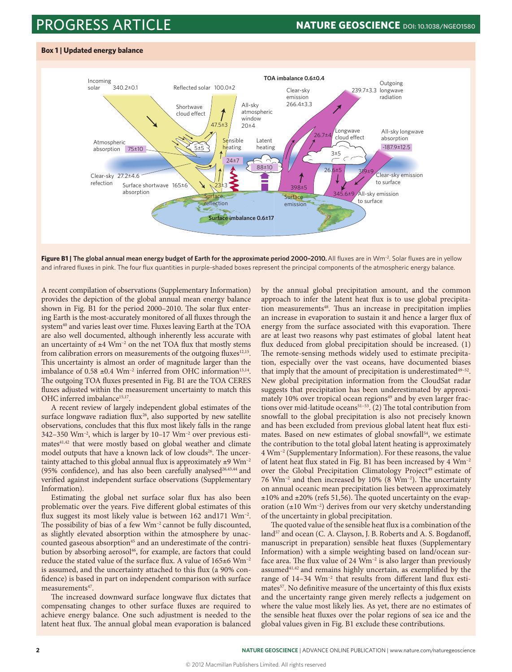### PROGRESS ARTICLE **NATURE GEOSCIENCE DOI: 10.1038/NGEO1580**





**Figure B1 | The global annual mean energy budget of Earth for the approximate period 2000-2010. All fluxes are in Wm<sup>-2</sup>. Solar fluxes are in yellow** and infrared fluxes in pink. The four flux quantities in purple-shaded boxes represent the principal components of the atmospheric energy balance.

A recent compilation of observations (Supplementary Information) provides the depiction of the global annual mean energy balance shown in Fig. B1 for the period 2000–2010. The solar flux entering Earth is the most-accurately monitored of all fluxes through the system<sup>40</sup> and varies least over time. Fluxes leaving Earth at the TOA are also well documented, although inherently less accurate with an uncertainty of  $\pm 4$  Wm<sup>-2</sup> on the net TOA flux that mostly stems from calibration errors on measurements of the outgoing fluxes<sup>12,15</sup>. This uncertainty is almost an order of magnitude larger than the imbalance of  $0.58 \pm 0.4$  Wm<sup>-2</sup> inferred from OHC information<sup>13,14</sup>. The outgoing TOA fluxes presented in Fig. B1 are the TOA CERES fluxes adjusted within the measurement uncertainty to match this OHC inferred imbalance<sup>15,17</sup>.

A recent review of largely independent global estimates of the surface longwave radiation flux<sup>26</sup>, also supported by new satellite observations, concludes that this flux most likely falls in the range 342–350 Wm–2, which is larger by 10–17 Wm–2 over previous estimates<sup>41,42</sup> that were mostly based on global weather and climate model outputs that have a known lack of low clouds<sup>26</sup>. The uncertainty attached to this global annual flux is approximately  $\pm 9$  Wm<sup>-2</sup> (95% confidence), and has also been carefully analysed<sup>26,43,44</sup> and verified against independent surface observations (Supplementary Information).

Estimating the global net surface solar flux has also been problematic over the years. Five different global estimates of this flux suggest its most likely value is between 162 and171 Wm<sup>-2</sup>. The possibility of bias of a few Wm<sup>-2</sup> cannot be fully discounted, as slightly elevated absorption within the atmosphere by unaccounted gaseous absorption<sup>45</sup> and an underestimate of the contribution by absorbing aerosol<sup>46</sup>, for example, are factors that could reduce the stated value of the surface flux. A value of  $165±6$  Wm<sup>-2</sup> is assumed, and the uncertainty attached to this flux (a 90% confidence) is based in part on independent comparison with surface measurements<sup>47</sup>.

The increased downward surface longwave flux dictates that compensating changes to other surface fluxes are required to achieve energy balance. One such adjustment is needed to the latent heat flux. The annual global mean evaporation is balanced

by the annual global precipitation amount, and the common approach to infer the latent heat flux is to use global precipitation measurements<sup>48</sup>. Thus an increase in precipitation implies an increase in evaporation to sustain it and hence a larger flux of energy from the surface associated with this evaporation. There are at least two reasons why past estimates of global latent heat flux deduced from global precipitation should be increased. (1) The remote-sensing methods widely used to estimate precipitation, especially over the vast oceans, have documented biases that imply that the amount of precipitation is underestimated $49-52$ . New global precipitation information from the CloudSat radar suggests that precipitation has been underestimated by approximately 10% over tropical ocean regions<sup>49</sup> and by even larger fractions over mid-latitude oceans<sup>51-53</sup>. (2) The total contribution from snowfall to the global precipitation is also not precisely known and has been excluded from previous global latent heat flux estimates. Based on new estimates of global snowfall<sup>54</sup>, we estimate the contribution to the total global latent heating is approximately 4 Wm–2 (Supplementary Information). For these reasons, the value of latent heat flux stated in Fig. B1 has been increased by 4 Wm–2 over the Global Precipitation Climatology Project<sup>49</sup> estimate of 76 Wm–2 and then increased by 10% (8 Wm–2). The uncertainty on annual oceanic mean precipitation lies between approximately  $\pm 10\%$  and  $\pm 20\%$  (refs 51,56). The quoted uncertainty on the evaporation  $(\pm 10 \text{ Wm}^{-2})$  derives from our very sketchy understanding of the uncertainty in global precipitation.

The quoted value of the sensible heat flux is a combination of the land<sup>57</sup> and ocean (C. A. Clayson, J. B. Roberts and A. S. Bogdanoff, manuscript in preparation) sensible heat fluxes (Supplementary Information) with a simple weighting based on land/ocean surface area. The flux value of 24  $Wm^{-2}$  is also larger than previously assumed<sup>41,42</sup> and remains highly uncertain, as exemplified by the range of 14-34  $Wm^{-2}$  that results from different land flux estimates<sup>57</sup>. No definitive measure of the uncertainty of this flux exists and the uncertainty range given merely reflects a judgement on where the value most likely lies. As yet, there are no estimates of the sensible heat fluxes over the polar regions of sea ice and the global values given in Fig. B1 exclude these contributions.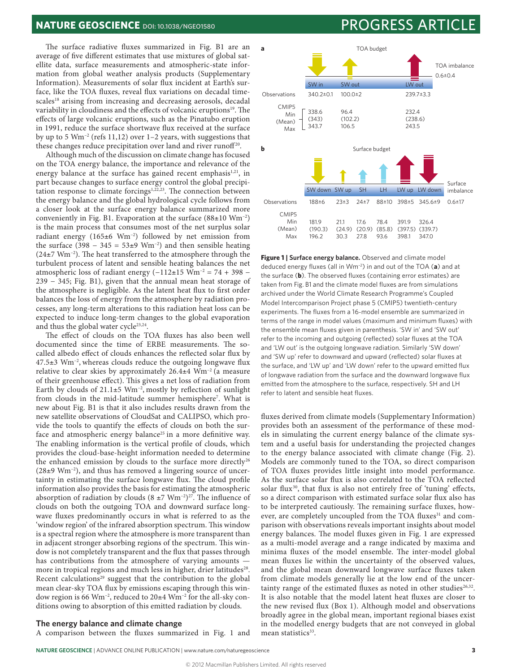The surface radiative fluxes summarized in Fig. B1 are an average of five different estimates that use mixtures of global satellite data, surface measurements and atmospheric-state information from global weather analysis products (Supplementary Information). Measurements of solar flux incident at Earth's surface, like the TOA fluxes, reveal flux variations on decadal timescales<sup>18</sup> arising from increasing and decreasing aerosols, decadal variability in cloudiness and the effects of volcanic eruptions<sup>19</sup>. The effects of large volcanic eruptions, such as the Pinatubo eruption in 1991, reduce the surface shortwave flux received at the surface by up to 5 Wm–2 (refs 11,12) over 1–2 years, with suggestions that these changes reduce precipitation over land and river runoff<sup>20</sup>.

Although much of the discussion on climate change has focused on the TOA energy balance, the importance and relevance of the energy balance at the surface has gained recent emphasis<sup>1,21</sup>, in part because changes to surface energy control the global precipitation response to climate forcings<sup>1,22,23</sup>. The connection between the energy balance and the global hydrological cycle follows from a closer look at the surface energy balance summarized more conveniently in Fig. B1. Evaporation at the surface  $(88\pm10 \text{ Wm}^{-2})$ is the main process that consumes most of the net surplus solar radiant energy (165±6 Wm–2) followed by net emission from the surface  $(398 - 345 = 53\pm 9 \text{ Wm}^{-2})$  and then sensible heating  $(24\pm7 \text{ Wm}^{-2})$ . The heat transferred to the atmosphere through the turbulent process of latent and sensible heating balances the net atmospheric loss of radiant energy  $(-112±15 \text{ Wm}^{-2} = 74 + 398 - 125 \text{ Wm}^{-2} = 74 + 398$ 239 - 345; Fig. B1), given that the annual mean heat storage of the atmosphere is negligible. As the latent heat flux to first order balances the loss of energy from the atmosphere by radiation processes, any long-term alterations to this radiation heat loss can be expected to induce long-term changes to the global evaporation and thus the global water cycle<sup>23,24</sup>.

The effect of clouds on the TOA fluxes has also been well documented since the time of ERBE measurements. The socalled albedo effect of clouds enhances the reflected solar flux by  $47.5\pm3$  Wm<sup>-2</sup>, whereas clouds reduce the outgoing longwave flux relative to clear skies by approximately  $26.4\pm4$  Wm<sup>-2</sup> (a measure of their greenhouse effect). This gives a net loss of radiation from Earth by clouds of  $21.1\pm5$  Wm<sup>-2</sup>, mostly by reflection of sunlight from clouds in the mid-latitude summer hemisphere<sup>7</sup>. What is new about Fig. B1 is that it also includes results drawn from the new satellite observations of CloudSat and CALIPSO, which provide the tools to quantify the effects of clouds on both the surface and atmospheric energy balance<sup>25</sup> in a more definitive way. The enabling information is the vertical profile of clouds, which provides the cloud-base-height information needed to determine the enhanced emission by clouds to the surface more directly<sup>26</sup>  $(28\pm9 \text{ Wm}^{-2})$ , and thus has removed a lingering source of uncertainty in estimating the surface longwave flux. The cloud profile information also provides the basis for estimating the atmospheric absorption of radiation by clouds  $(8 \pm 7 \text{ Wm}^{-2})^{27}$ . The influence of clouds on both the outgoing TOA and downward surface longwave fluxes predominantly occurs in what is referred to as the 'window region' of the infrared absorption spectrum. This window is a spectral region where the atmosphere is more transparent than in adjacent stronger absorbing regions of the spectrum. This window is not completely transparent and the flux that passes through has contributions from the atmosphere of varying amounts more in tropical regions and much less in higher, drier latitudes<sup>28</sup>. Recent calculations<sup>29</sup> suggest that the contribution to the global mean clear-sky TOA flux by emissions escaping through this window region is 66 Wm–2, reduced to 20±4 Wm–2 for the all-sky conditions owing to absorption of this emitted radiation by clouds.

### **The energy balance and climate change**

A comparison between the fluxes summarized in Fig. 1 and

### **NATURE GEOSCIENCE** DOI: 10.1038/NGEO1580 **PROGRESS ARTICLE**



**Figure 1 | Surface energy balance.** Observed and climate model deduced energy fluxes (all in Wm–2) in and out of the TOA (**a**) and at the surface (**b**). The observed fluxes (containing error estimates) are taken from Fig. B1 and the climate model fluxes are from simulations archived under the World Climate Research Programme's Coupled Model Intercomparison Project phase 5 (CMIP5) twentieth-century experiments. The fluxes from a 16-model ensemble are summarized in terms of the range in model values (maximum and minimum fluxes) with the ensemble mean fluxes given in parenthesis. 'SW in' and 'SW out' refer to the incoming and outgoing (reflected) solar fluxes at the TOA and 'LW out' is the outgoing longwave radiation. Similarly 'SW down' and 'SW up' refer to downward and upward (reflected) solar fluxes at the surface, and 'LW up' and 'LW down' refer to the upward emitted flux of longwave radiation from the surface and the downward longwave flux emitted from the atmosphere to the surface, respectively. SH and LH refer to latent and sensible heat fluxes.

fluxes derived from climate models (Supplementary Information) provides both an assessment of the performance of these models in simulating the current energy balance of the climate system and a useful basis for understanding the projected changes to the energy balance associated with climate change (Fig. 2). Models are commonly tuned to the TOA, so direct comparison of TOA fluxes provides little insight into model performance. As the surface solar flux is also correlated to the TOA reflected solar flux<sup>30</sup>, that flux is also not entirely free of 'tuning' effects, so a direct comparison with estimated surface solar flux also has to be interpreted cautiously. The remaining surface fluxes, however, are completely uncoupled from the TOA fluxes<sup>31</sup> and comparison with observations reveals important insights about model energy balances. The model fluxes given in Fig. 1 are expressed as a multi-model average and a range indicated by maxima and minima fluxes of the model ensemble. The inter-model global mean fluxes lie within the uncertainty of the observed values, and the global mean downward longwave surface fluxes taken from climate models generally lie at the low end of the uncertainty range of the estimated fluxes as noted in other studies $26,32$ . It is also notable that the model latent heat fluxes are closer to the new revised flux (Box 1). Although model and observations broadly agree in the global mean, important regional biases exist in the modelled energy budgets that are not conveyed in global mean statistics<sup>33</sup>.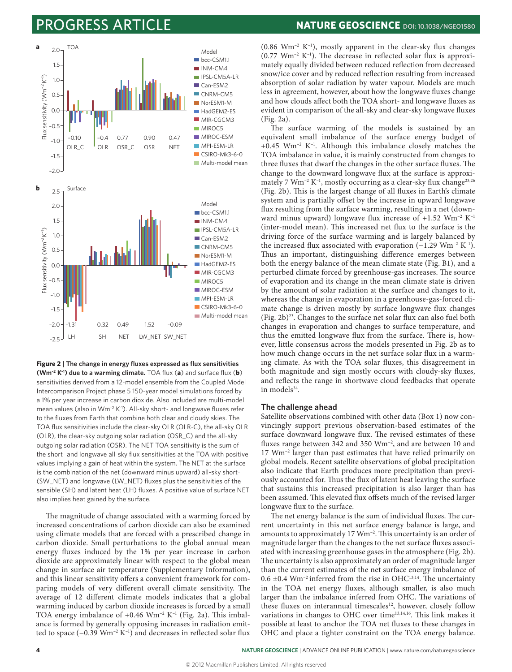## **ROGRESS ARTICLE NATURE GEOSCIENCE** DOI: 10.1038/NGEO1580



**Figure 2 | The change in energy fluxes expressed as flux sensitivities (Wm–2 K–1) due to a warming climate.** TOA flux (**a**) and surface flux (**b**) sensitivities derived from a 12-model ensemble from the Coupled Model Intercomparison Project phase 5 150-year model simulations forced by a 1% per year increase in carbon dioxide. Also included are multi-model mean values (also in Wm<sup>-2</sup> K<sup>-1</sup>). All-sky short- and longwave fluxes refer to the fluxes from Earth that combine both clear and cloudy skies. The TOA flux sensitivities include the clear-sky OLR (OLR-C), the all-sky OLR (OLR), the clear-sky outgoing solar radiation (OSR\_C) and the all-sky outgoing solar radiation (OSR). The NET TOA sensitivity is the sum of the short- and longwave all-sky flux sensitivities at the TOA with positive values implying a gain of heat within the system. The NET at the surface is the combination of the net (downward minus upward) all-sky short- (SW\_NET) and longwave (LW\_NET) fluxes plus the sensitivities of the sensible (SH) and latent heat (LH) fluxes. A positive value of surface NET also implies heat gained by the surface.

The magnitude of change associated with a warming forced by increased concentrations of carbon dioxide can also be examined using climate models that are forced with a prescribed change in carbon dioxide. Small perturbations to the global annual mean energy fluxes induced by the 1% per year increase in carbon dioxide are approximately linear with respect to the global mean change in surface air temperature (Supplementary Information), and this linear sensitivity offers a convenient framework for comparing models of very different overall climate sensitivity. The average of 12 different climate models indicates that a global warming induced by carbon dioxide increases is forced by a small TOA energy imbalance of  $+0.46$  Wm<sup>-2</sup> K<sup>-1</sup> (Fig. 2a). This imbalance is formed by generally opposing increases in radiation emitted to space  $(-0.39 \text{ Wm}^{-2} \text{K}^{-1})$  and decreases in reflected solar flux

(0.86  $Wm^{-2} K^{-1}$ ), mostly apparent in the clear-sky flux changes  $(0.77 \text{ Wm}^{-2} \text{ K}^{-1})$ . The decrease in reflected solar flux is approximately equally divided between reduced reflection from decreased snow/ice cover and by reduced reflection resulting from increased absorption of solar radiation by water vapour. Models are much less in agreement, however, about how the longwave fluxes change and how clouds affect both the TOA short- and longwave fluxes as evident in comparison of the all-sky and clear-sky longwave fluxes (Fig. 2a).

The surface warming of the models is sustained by an equivalent small imbalance of the surface energy budget of +0.45  $Wm^{-2}$  K<sup>-1</sup>. Although this imbalance closely matches the TOA imbalance in value, it is mainly constructed from changes to three fluxes that dwarf the changes in the other surface fluxes. The change to the downward longwave flux at the surface is approximately 7 Wm<sup>-2</sup> K<sup>-1</sup>, mostly occurring as a clear-sky flux change<sup>23,26</sup> (Fig. 2b). This is the largest change of all fluxes in Earth's climate system and is partially offset by the increase in upward longwave flux resulting from the surface warming, resulting in a net (downward minus upward) longwave flux increase of  $+1.52$  Wm<sup>-2</sup> K<sup>-1</sup> (inter-model mean). This increased net flux to the surface is the driving force of the surface warming and is largely balanced by the increased flux associated with evaporation (−1.29 Wm–2 K–1). Thus an important, distinguishing difference emerges between both the energy balance of the mean climate state (Fig. B1), and a perturbed climate forced by greenhouse-gas increases. The source of evaporation and its change in the mean climate state is driven by the amount of solar radiation at the surface and changes to it, whereas the change in evaporation in a greenhouse-gas-forced climate change is driven mostly by surface longwave flux changes (Fig.  $2b)^{23}$ . Changes to the surface net solar flux can also fuel both changes in evaporation and changes to surface temperature, and thus the emitted longwave flux from the surface. There is, however, little consensus across the models presented in Fig. 2b as to how much change occurs in the net surface solar flux in a warming climate. As with the TOA solar fluxes, this disagreement in both magnitude and sign mostly occurs with cloudy-sky fluxes, and reflects the range in shortwave cloud feedbacks that operate in models<sup>34</sup>.

#### **The challenge ahead**

Satellite observations combined with other data (Box 1) now convincingly support previous observation-based estimates of the surface downward longwave flux. The revised estimates of these fluxes range between 342 and 350 Wm−2, and are between 10 and 17 Wm–2 larger than past estimates that have relied primarily on global models. Recent satellite observations of global precipitation also indicate that Earth produces more precipitation than previously accounted for. Thus the flux of latent heat leaving the surface that sustains this increased precipitation is also larger than has been assumed. This elevated flux offsets much of the revised larger longwave flux to the surface.

The net energy balance is the sum of individual fluxes. The current uncertainty in this net surface energy balance is large, and amounts to approximately 17 Wm–2. This uncertainty is an order of magnitude larger than the changes to the net surface fluxes associated with increasing greenhouse gases in the atmosphere (Fig. 2b). The uncertainty is also approximately an order of magnitude larger than the current estimates of the net surface energy imbalance of  $0.6 \pm 0.4$  Wm<sup>-2</sup> inferred from the rise in OHC<sup>13,14</sup>. The uncertainty in the TOA net energy fluxes, although smaller, is also much larger than the imbalance inferred from OHC. The variations of these fluxes on interannual timescales<sup>12</sup>, however, closely follow variations in changes to OHC over time<sup>13,14,16</sup>. This link makes it possible at least to anchor the TOA net fluxes to these changes in OHC and place a tighter constraint on the TOA energy balance.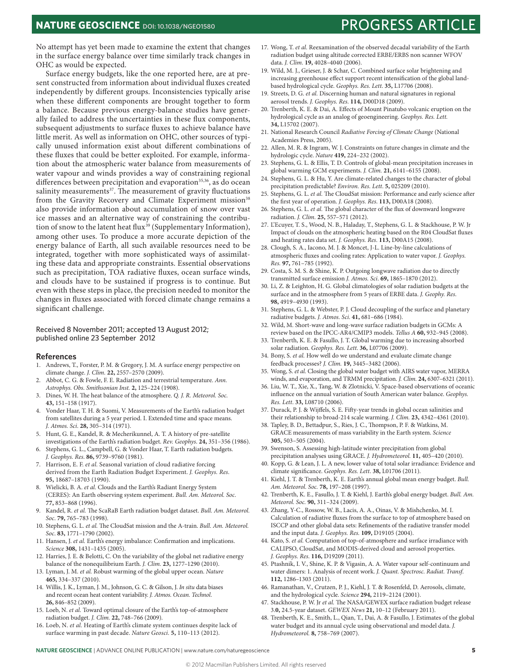**NATURE GEOSCIENCE** DOI: 10.1038/NGEO1580 **PROGRESS ARTICLE** 

No attempt has yet been made to examine the extent that changes in the surface energy balance over time similarly track changes in OHC as would be expected.

Surface energy budgets, like the one reported here, are at present constructed from information about individual fluxes created independently by different groups. Inconsistencies typically arise when these different components are brought together to form a balance. Because previous energy-balance studies have generally failed to address the uncertainties in these flux components, subsequent adjustments to surface fluxes to achieve balance have little merit. As well as information on OHC, other sources of typically unused information exist about different combinations of these fluxes that could be better exploited. For example, information about the atmospheric water balance from measurements of water vapour and winds provides a way of constraining regional differences between precipitation and evaporation<sup>35,36</sup>, as do ocean salinity measurements<sup>37</sup>. The measurement of gravity fluctuations from the Gravity Recovery and Climate Experiment mission<sup>38</sup> also provide information about accumulation of snow over vast ice masses and an alternative way of constraining the contribution of snow to the latent heat flux<sup>39</sup> (Supplementary Information), among other uses. To produce a more accurate depiction of the energy balance of Earth, all such available resources need to be integrated, together with more sophisticated ways of assimilating these data and appropriate constraints. Essential observations such as precipitation, TOA radiative fluxes, ocean surface winds, and clouds have to be sustained if progress is to continue. But even with these steps in place, the precision needed to monitor the changes in fluxes associated with forced climate change remains a significant challenge.

#### Received 8 November 2011; accepted 13 August 2012; published online 23 September 2012

#### **References**

- 1. Andrews, T., Forster, P. M. & Gregory, J. M. A surface energy perspective on climate change. *J. Clim.* **22,** 2557–2570 (2009).
- 2. Abbot, C. G. & Fowle, F. E. Radiation and terrestrial temperature. *Ann. Astrophys. Obs. Smithsonian Inst.* **2,** 125–224 (1908).
- 3. Dines, W. H. The heat balance of the atmosphere. *Q. J. R. Meteorol. Soc.* **43,** 151–158 (1917).
- 4. Vonder Haar, T. H. & Suomi, V. Measurements of the Earth's radiation budget from satellites during a 5 year period. I. Extended time and space means. *J. Atmos. Sci*. **28,** 305–314 (1971).
- 5. Hunt, G. E., Kandel, R. & Mecherikunnel, A. T. A history of pre-satellite investigations of the Earth's radiation budget. *Rev. Geophys*. **24,** 351–356 (1986).
- 6. Stephens, G. L., Campbell, G. & Vonder Haar, T. Earth radiation budgets. *J. Geophys. Res*. **86,** 9739–9760 (1981).
- 7. Harrison, E. F. *et al.* Seasonal variation of cloud radiative forcing derived from the Earth Radiation Budget Experiment. *J. Geophys. Res*. **95,** 18687–18703 (1990).
- 8. Wielicki, B. A. *et al.* Clouds and the Earth's Radiant Energy System (CERES): An Earth observing system experiment. *Bull. Am. Meteorol. Soc*. **77,** 853–868 (1996).
- 9. Kandel, R. *et al.* The ScaRaB Earth radiation budget dataset. *Bull. Am. Meteorol. Soc*. **79,** 765–783 (1998).
- 10. Stephens, G. L. *et al.* The CloudSat mission and the A-train. *Bull. Am. Meteorol. Soc*. **83,** 1771–1790 (2002).
- 11. Hansen, J. *et al.* Earth's energy imbalance: Confirmation and implications. *Science* **308,** 1431–1435 (2005).
- 12. Harries, J. E. & Belotti, C. On the variability of the global net radiative energy balance of the nonequilibrium Earth. *J. Clim.* **23,** 1277–1290 (2010).
- 13. Lyman, J. M. *et al.* Robust warming of the global upper ocean. *Nature* **465,** 334–337 (2010).
- 14. Willis, J. K., Lyman, J. M., Johnson, G. C. & Gilson, J. *In situ* data biases and recent ocean heat content variability. *J. Atmos. Ocean. Technol*. **26,** 846–852 (2009).
- 15. Loeb, N. *et al.* Toward optimal closure of the Earth's top-of-atmosphere radiation budget. *J. Clim.* **22,** 748–766 (2009).
- 16. Loeb, N. *et al.* Heating of Earth's climate system continues despite lack of surface warming in past decade. *Nature Geosci.* **5,** 110–113 (2012).
- 17*.* Wong, T. *et al.* Reexamination of the observed decadal variability of the Earth radiation budget using altitude corrected ERBE/ERBS non scanner WFOV data. *J. Clim.* **19,** 4028–4040 (2006).
- 19. Wild, M. J., Grieser, J. & Schar, C. Combined surface solar brightening and increasing greenhouse effect support recent intensification of the global landbased hydrological cycle. *Geophys. Res. Lett*. **35,** L17706 (2008).
- 19. Streets, D. G. *et al.* Discerning human and natural signatures in regional aerosol trends. *J. Geophys. Res*. **114,** D00D18 (2009).
- 20. Trenberth, K. E. & Dai, A. Effects of Mount Pinatubo volcanic eruption on the hydrological cycle as an analog of geoengineering. *Geophys. Res. Lett.* **34,** L15702 (2007).
- 21. National Research Council *Radiative Forcing of Climate Change* (National Academies Press, 2005).
- 22. Allen, M. R. & Ingram, W. J. Constraints on future changes in climate and the hydrologic cycle. *Nature* **419,** 224–232 (2002).
- 23. Stephens, G. L. & Ellis, T. D. Controls of global-mean precipitation increases in global warming GCM experiments. *J. Clim.* **21,** 6141–6155 (2008).
- 24. Stephens, G. L. & Hu, Y. Are climate-related changes to the character of global precipitation predictable? *Environ. Res. Lett*. **5,** 025209 (2010).
- 25. Stephens, G. L. *et al.* The CloudSat mission: Performance and early science after the first year of operation. *J. Geophys. Res*. **113,** D00A18 (2008).
- 26. Stephens, G. L. *et al.* The global character of the flux of downward longwave radiation. *J. Clim.* **25,** 557–571 (2012).
- 27. L'Ecuyer, T. S., Wood, N. B., Haladay, T., Stephens, G. L. & Stackhouse, P. W. Jr Impact of clouds on the atmospheric heating based on the R04 CloudSat fluxes and heating rates data set. *J. Geophys. Res*. **113,** D00A15 (2008).
- 28. Clough, S. A., Iacono, M. J. & Moncet, J-L. Line-by-line calculations of atmospheric fluxes and cooling rates: Application to water vapor. *J. Geophys. Res.* **97,** 761–785 (1992).
- 29. Costa, S. M. S. & Shine, K. P. Outgoing longwave radiation due to directly transmitted surface emission *J. Atmos. Sci*. **69,** 1865–1870 (2012).
- 30. Li, Z. & Leighton, H. G. Global climatologies of solar radiation budgets at the surface and in the atmosphere from 5 years of ERBE data. *J. Geophy. Res*. **98,** 4919–4930 (1993).
- 31. Stephens, G. L. & Webster, P. J. Cloud decoupling of the surface and planetary radiative budgets. *J. Atmos. Sci*. **41,** 681–686 (1984).
- 32. Wild, M. Short-wave and long-wave surface radiation budgets in GCMs: A review based on the IPCC-AR4/CMIP3 models. *Tellus A* **60,** 932–945 (2008).
- 33. Trenberth, K. E. & Fasullo, J. T. Global warming due to increasing absorbed solar radiation. *Geophys. Res. Lett*. **36,** L07706 (2009).
- 34. Bony, S. *et al.* How well do we understand and evaluate climate change feedback processes? *J. Clim.* **19,** 3445–3482 (2006).
- 35. Wong, S. *et al.* Closing the global water budget with AIRS water vapor, MERRA winds, and evaporation, and TRMM precipitation. *J. Clim.* **24,** 6307–6321 (2011).
- 36. Liu, W. T., Xie, X., Tang, W. & Zlotnicki, V. Space-based observations of oceanic influence on the annual variation of South American water balance. *Geophys. Res. Lett*. **33,** L08710 (2006).
- 37. Durack, P. J. & Wijffels, S. E. Fifty-year trends in global ocean salinities and their relationship to broad-214 scale warming. *J. Clim.* **23,** 4342–4361 (2010).
- 38. Tapley, B. D., Bettadpur, S., Ries, J. C., Thompson, P. F. & Watkins, M. GRACE measurements of mass variability in the Earth system. *Science* **305,** 503–505 (2004).
- 39. Swenson, S. Assessing high-latitude winter precipitation from global precipitation analyses using GRACE. *J. Hydrometeorol.* **11,** 405–420 (2010).
- 40. Kopp, G. & Lean, J. L. A new, lower value of total solar irradiance: Evidence and climate significance. *Geophys. Res. Lett*. **38,** L01706 (2011).
- 41. Kiehl, J. T. & Trenberth, K. E. Earth's annual global mean energy budget. *Bull. Am. Meteorol. Soc.* **78,** 197–208 (1997).
- 42. Trenberth, K. E., Fasullo, J. T. & Kiehl, J. Earth's global energy budget. *Bull. Am. Meteorol. Soc.* **90,** 311–324 (2009).
- 43. Zhang, Y-C., Rossow, W. B., Lacis, A. A., Oinas, V. & Mishchenko, M. I. Calculation of radiative fluxes from the surface to top of atmosphere based on ISCCP and other global data sets: Refinements of the radiative transfer model and the input data. *J. Geophys. Res.* **109,** D19105 (2004).
- 44. Kato, S. *et al.* Computation of top-of-atmosphere and surface irradiance with CALIPSO, CloudSat, and MODIS-derived cloud and aerosol properties. *J. Geophys. Res*. **116,** D19209 (2011).
- 45. Ptashnik, I. V., Shine, K. P. & Vigasin, A. A. Water vapour self-continuum and water dimers: 1. Analysis of recent work. *J. Quant. Spectrosc. Radiat. Transf*. **112,** 1286–1303 (2011).
- 46. Ramanathan, V., Crutzen, P. J., Kiehl, J. T. & Rosenfeld, D. Aerosols, climate, and the hydrological cycle. *Science* **294,** 2119–2124 (2001).
- 47. Stackhouse, P. W. Jr *et al.* The NASA/GEWEX surface radiation budget release 3.**0,** 24.5-year dataset. *GEWEX News* **21,** 10–12 (February 2011).
- 48. Trenberth, K. E., Smith, L., Qian, T., Dai, A. & Fasullo, J. Estimates of the global water budget and its annual cycle using observational and model data. *J. Hydrometeorol.* **8,** 758–769 (2007).